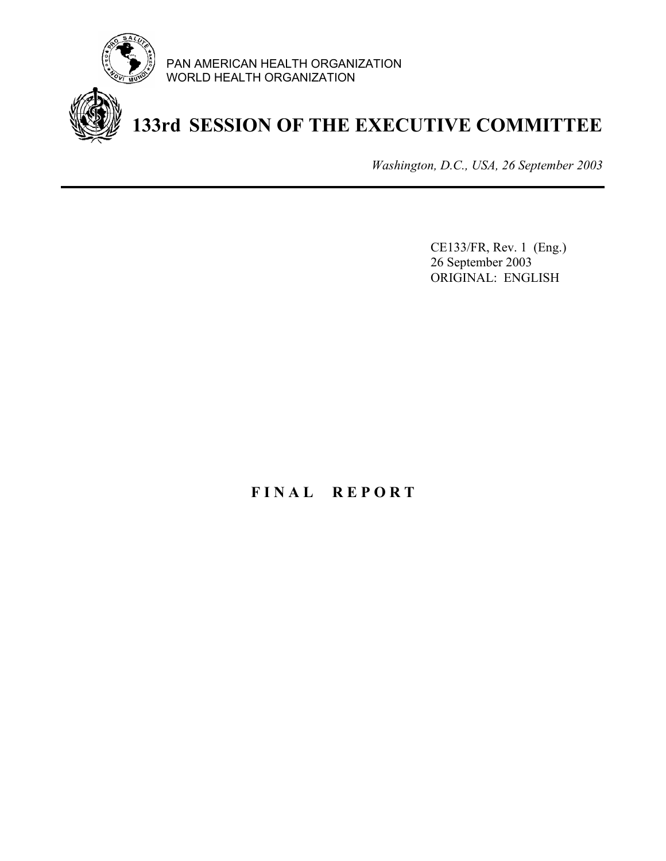

PAN AMERICAN HEALTH ORGANIZATION WORLD HEALTH ORGANIZATION

# **133rd SESSION OF THE EXECUTIVE COMMITTEE**

*Washington, D.C., USA, 26 September 2003*

CE133/FR, Rev. 1 (Eng.) 26 September 2003 ORIGINAL: ENGLISH

# **F I N A L R E P O R T**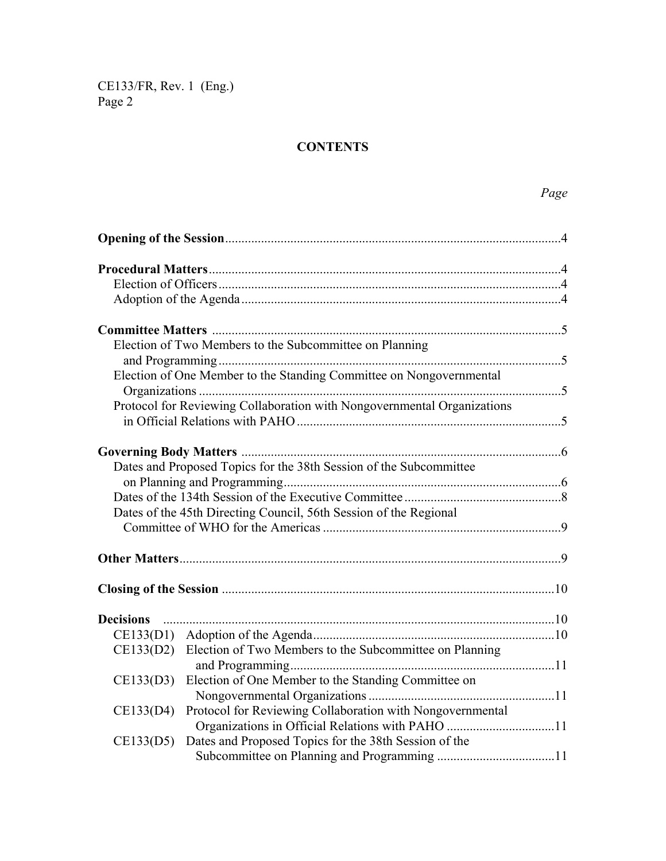# **CONTENTS**

|                  | Election of Two Members to the Subcommittee on Planning                 |  |  |
|------------------|-------------------------------------------------------------------------|--|--|
|                  | Election of One Member to the Standing Committee on Nongovernmental     |  |  |
|                  | Protocol for Reviewing Collaboration with Nongovernmental Organizations |  |  |
|                  |                                                                         |  |  |
|                  |                                                                         |  |  |
|                  | Dates and Proposed Topics for the 38th Session of the Subcommittee      |  |  |
|                  |                                                                         |  |  |
|                  |                                                                         |  |  |
|                  | Dates of the 45th Directing Council, 56th Session of the Regional       |  |  |
|                  |                                                                         |  |  |
|                  |                                                                         |  |  |
|                  |                                                                         |  |  |
| <b>Decisions</b> |                                                                         |  |  |
|                  |                                                                         |  |  |
| CE133(D2)        | Election of Two Members to the Subcommittee on Planning                 |  |  |
|                  |                                                                         |  |  |
| CE133(D3)        | Election of One Member to the Standing Committee on                     |  |  |
|                  |                                                                         |  |  |
| CE133(D4)        | Protocol for Reviewing Collaboration with Nongovernmental               |  |  |
|                  | Organizations in Official Relations with PAHO 11                        |  |  |
| CE133(D5)        | Dates and Proposed Topics for the 38th Session of the                   |  |  |
|                  |                                                                         |  |  |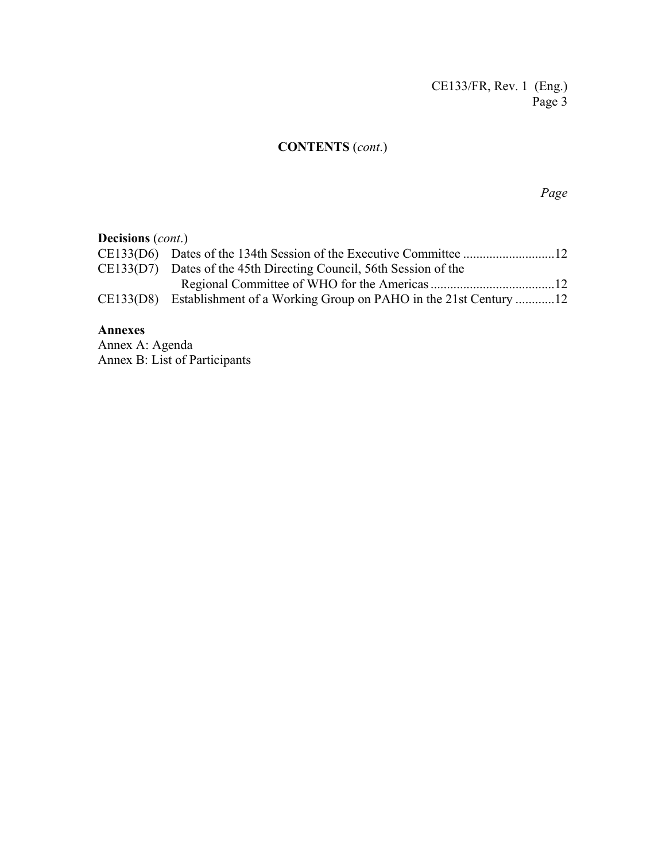# **CONTENTS** (*cont*.)

*Page*

| <b>Decisions</b> ( <i>cont.</i> ) |                                                                           |  |  |  |
|-----------------------------------|---------------------------------------------------------------------------|--|--|--|
|                                   |                                                                           |  |  |  |
|                                   | CE133(D7) Dates of the 45th Directing Council, 56th Session of the        |  |  |  |
|                                   |                                                                           |  |  |  |
|                                   | CE133(D8) Establishment of a Working Group on PAHO in the 21st Century 12 |  |  |  |

# **Annexes**

Annex A: Agenda Annex B: List of Participants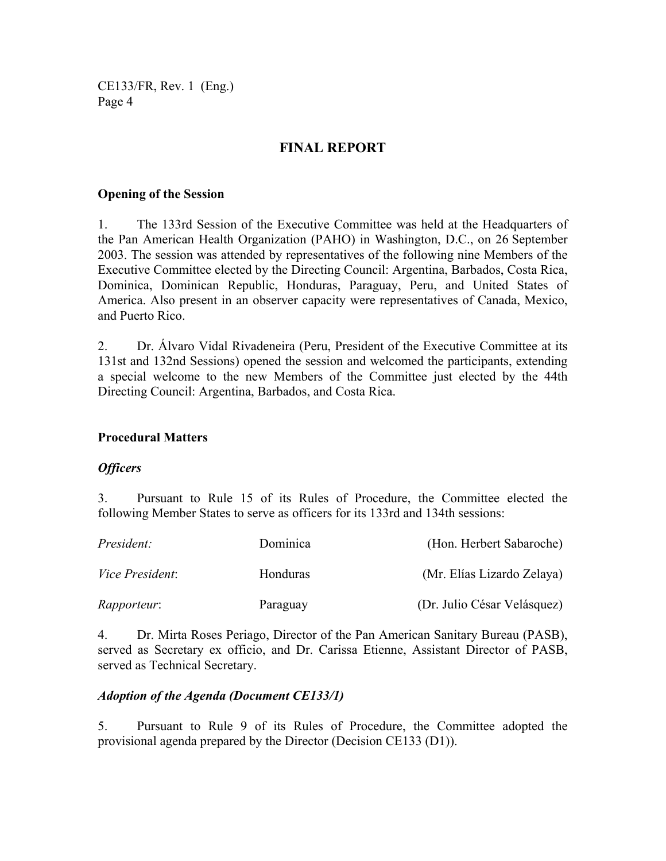# **FINAL REPORT**

#### **Opening of the Session**

1. The 133rd Session of the Executive Committee was held at the Headquarters of the Pan American Health Organization (PAHO) in Washington, D.C., on 26 September 2003. The session was attended by representatives of the following nine Members of the Executive Committee elected by the Directing Council: Argentina, Barbados, Costa Rica, Dominica, Dominican Republic, Honduras, Paraguay, Peru, and United States of America. Also present in an observer capacity were representatives of Canada, Mexico, and Puerto Rico.

2. Dr. Álvaro Vidal Rivadeneira (Peru, President of the Executive Committee at its 131st and 132nd Sessions) opened the session and welcomed the participants, extending a special welcome to the new Members of the Committee just elected by the 44th Directing Council: Argentina, Barbados, and Costa Rica.

#### **Procedural Matters**

#### *Officers*

3. Pursuant to Rule 15 of its Rules of Procedure, the Committee elected the following Member States to serve as officers for its 133rd and 134th sessions:

| President:             | Dominica | (Hon. Herbert Sabaroche)    |
|------------------------|----------|-----------------------------|
| <i>Vice President:</i> | Honduras | (Mr. Elías Lizardo Zelaya)  |
| <i>Rapporteur:</i>     | Paraguay | (Dr. Julio César Velásquez) |

4. Dr. Mirta Roses Periago, Director of the Pan American Sanitary Bureau (PASB), served as Secretary ex officio, and Dr. Carissa Etienne, Assistant Director of PASB, served as Technical Secretary.

#### *Adoption of the Agenda (Document CE133/1)*

5. Pursuant to Rule 9 of its Rules of Procedure, the Committee adopted the provisional agenda prepared by the Director (Decision CE133 (D1)).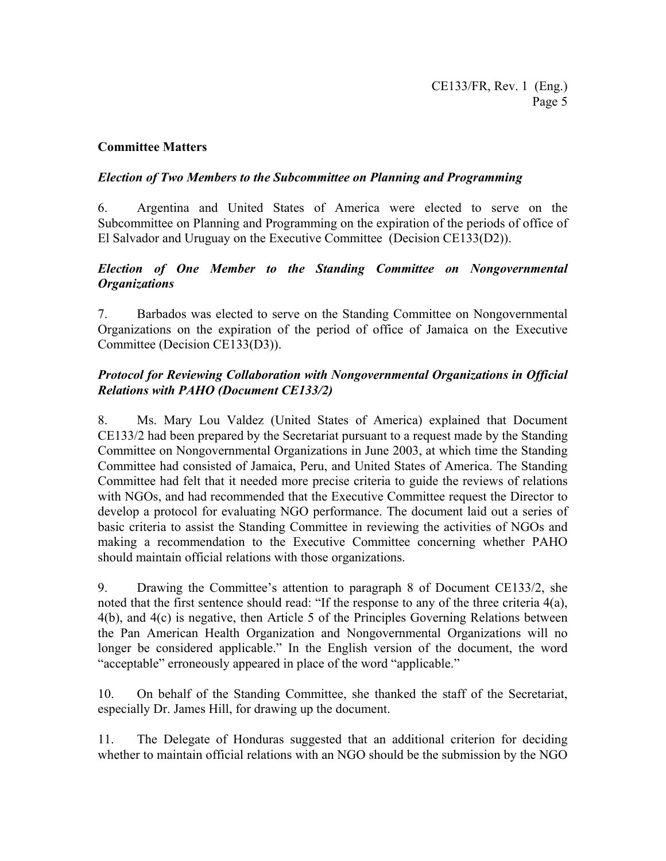# **Committee Matters**

#### *Election of Two Members to the Subcommittee on Planning and Programming*

6. Argentina and United States of America were elected to serve on the Subcommittee on Planning and Programming on the expiration of the periods of office of El Salvador and Uruguay on the Executive Committee (Decision CE133(D2)).

# *Election of One Member to the Standing Committee on Nongovernmental Organizations*

7. Barbados was elected to serve on the Standing Committee on Nongovernmental Organizations on the expiration of the period of office of Jamaica on the Executive Committee (Decision CE133(D3)).

# *Protocol for Reviewing Collaboration with Nongovernmental Organizations in Official Relations with PAHO (Document CE133/2)*

8. Ms. Mary Lou Valdez (United States of America) explained that Document CE133/2 had been prepared by the Secretariat pursuant to a request made by the Standing Committee on Nongovernmental Organizations in June 2003, at which time the Standing Committee had consisted of Jamaica, Peru, and United States of America. The Standing Committee had felt that it needed more precise criteria to guide the reviews of relations with NGOs, and had recommended that the Executive Committee request the Director to develop a protocol for evaluating NGO performance. The document laid out a series of basic criteria to assist the Standing Committee in reviewing the activities of NGOs and making a recommendation to the Executive Committee concerning whether PAHO should maintain official relations with those organizations.

9. Drawing the Committee's attention to paragraph 8 of Document CE133/2, she noted that the first sentence should read: "If the response to any of the three criteria 4(a), 4(b), and 4(c) is negative, then Article 5 of the Principles Governing Relations between the Pan American Health Organization and Nongovernmental Organizations will no longer be considered applicable." In the English version of the document, the word "acceptable" erroneously appeared in place of the word "applicable."

10. On behalf of the Standing Committee, she thanked the staff of the Secretariat, especially Dr. James Hill, for drawing up the document.

11. The Delegate of Honduras suggested that an additional criterion for deciding whether to maintain official relations with an NGO should be the submission by the NGO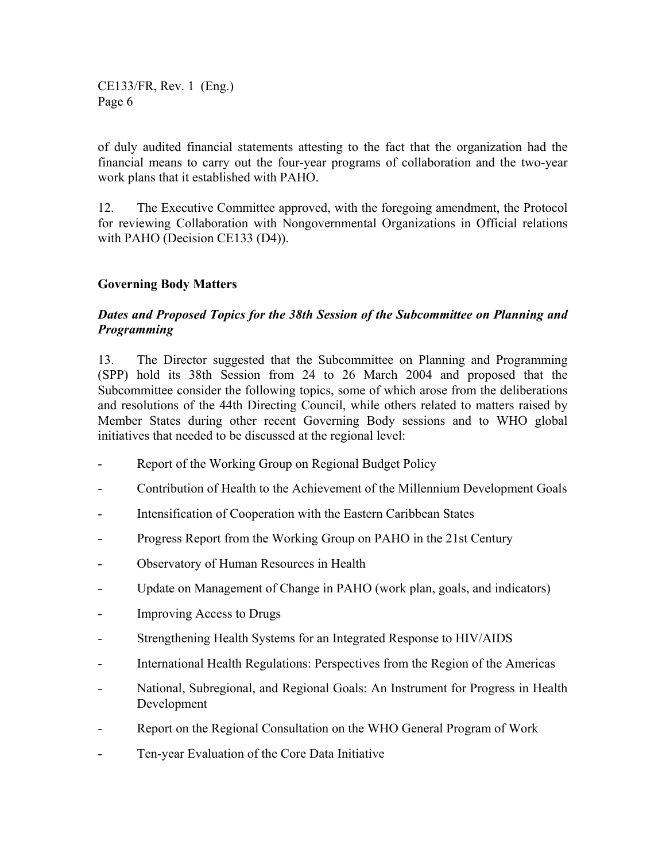of duly audited financial statements attesting to the fact that the organization had the financial means to carry out the four-year programs of collaboration and the two-year work plans that it established with PAHO.

12. The Executive Committee approved, with the foregoing amendment, the Protocol for reviewing Collaboration with Nongovernmental Organizations in Official relations with PAHO (Decision CE133 (D4)).

# **Governing Body Matters**

# *Dates and Proposed Topics for the 38th Session of the Subcommittee on Planning and Programming*

13. The Director suggested that the Subcommittee on Planning and Programming (SPP) hold its 38th Session from 24 to 26 March 2004 and proposed that the Subcommittee consider the following topics, some of which arose from the deliberations and resolutions of the 44th Directing Council, while others related to matters raised by Member States during other recent Governing Body sessions and to WHO global initiatives that needed to be discussed at the regional level:

- Report of the Working Group on Regional Budget Policy
- Contribution of Health to the Achievement of the Millennium Development Goals
- Intensification of Cooperation with the Eastern Caribbean States
- Progress Report from the Working Group on PAHO in the 21st Century
- Observatory of Human Resources in Health
- Update on Management of Change in PAHO (work plan, goals, and indicators)
- Improving Access to Drugs
- Strengthening Health Systems for an Integrated Response to HIV/AIDS
- International Health Regulations: Perspectives from the Region of the Americas
- National, Subregional, and Regional Goals: An Instrument for Progress in Health Development
- Report on the Regional Consultation on the WHO General Program of Work
- Ten-year Evaluation of the Core Data Initiative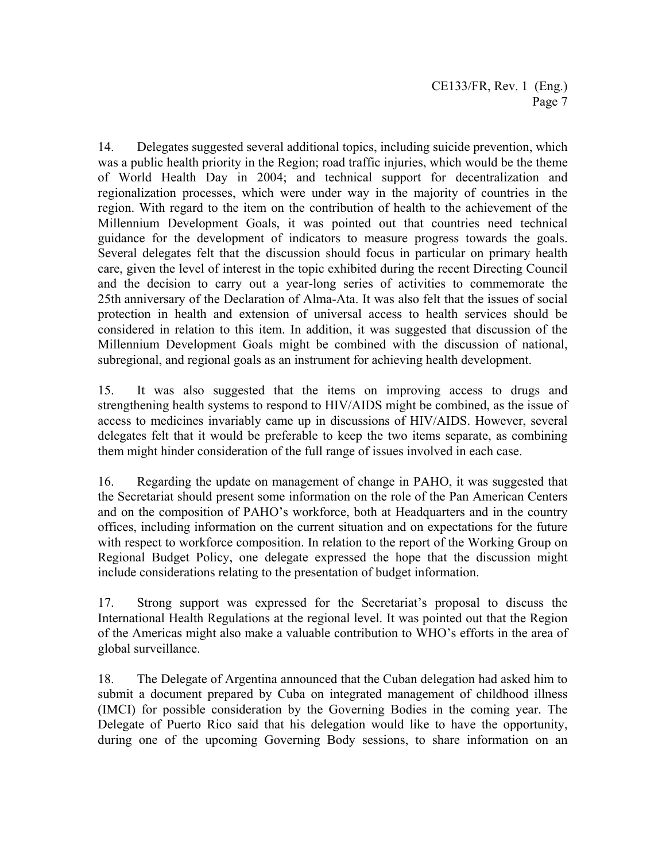14. Delegates suggested several additional topics, including suicide prevention, which was a public health priority in the Region; road traffic injuries, which would be the theme of World Health Day in 2004; and technical support for decentralization and regionalization processes, which were under way in the majority of countries in the region. With regard to the item on the contribution of health to the achievement of the Millennium Development Goals, it was pointed out that countries need technical guidance for the development of indicators to measure progress towards the goals. Several delegates felt that the discussion should focus in particular on primary health care, given the level of interest in the topic exhibited during the recent Directing Council and the decision to carry out a year-long series of activities to commemorate the 25th anniversary of the Declaration of Alma-Ata. It was also felt that the issues of social protection in health and extension of universal access to health services should be considered in relation to this item. In addition, it was suggested that discussion of the Millennium Development Goals might be combined with the discussion of national, subregional, and regional goals as an instrument for achieving health development.

15. It was also suggested that the items on improving access to drugs and strengthening health systems to respond to HIV/AIDS might be combined, as the issue of access to medicines invariably came up in discussions of HIV/AIDS. However, several delegates felt that it would be preferable to keep the two items separate, as combining them might hinder consideration of the full range of issues involved in each case.

16. Regarding the update on management of change in PAHO, it was suggested that the Secretariat should present some information on the role of the Pan American Centers and on the composition of PAHO's workforce, both at Headquarters and in the country offices, including information on the current situation and on expectations for the future with respect to workforce composition. In relation to the report of the Working Group on Regional Budget Policy, one delegate expressed the hope that the discussion might include considerations relating to the presentation of budget information.

17. Strong support was expressed for the Secretariat's proposal to discuss the International Health Regulations at the regional level. It was pointed out that the Region of the Americas might also make a valuable contribution to WHO's efforts in the area of global surveillance.

18. The Delegate of Argentina announced that the Cuban delegation had asked him to submit a document prepared by Cuba on integrated management of childhood illness (IMCI) for possible consideration by the Governing Bodies in the coming year. The Delegate of Puerto Rico said that his delegation would like to have the opportunity, during one of the upcoming Governing Body sessions, to share information on an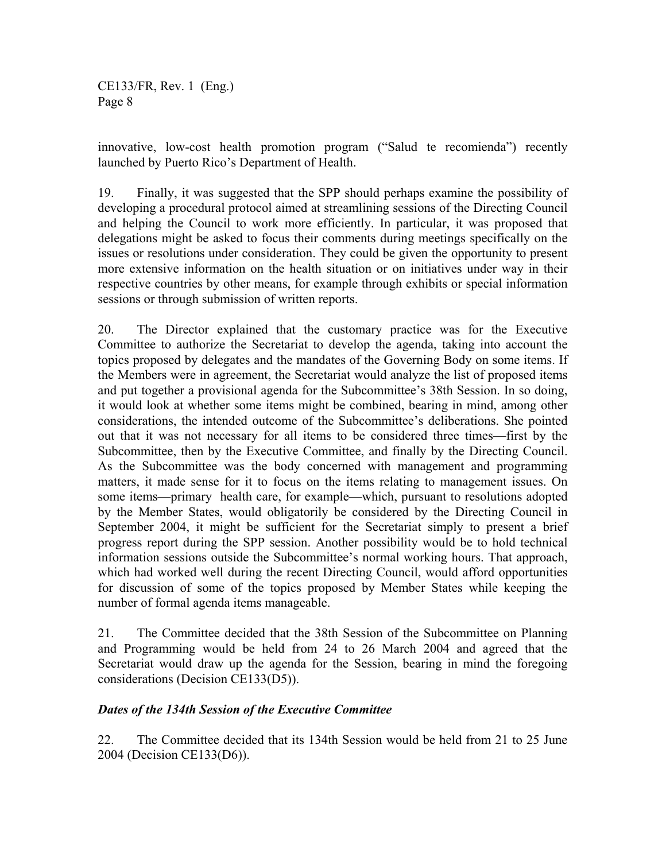innovative, low-cost health promotion program ("Salud te recomienda") recently launched by Puerto Rico's Department of Health.

19. Finally, it was suggested that the SPP should perhaps examine the possibility of developing a procedural protocol aimed at streamlining sessions of the Directing Council and helping the Council to work more efficiently. In particular, it was proposed that delegations might be asked to focus their comments during meetings specifically on the issues or resolutions under consideration. They could be given the opportunity to present more extensive information on the health situation or on initiatives under way in their respective countries by other means, for example through exhibits or special information sessions or through submission of written reports.

20. The Director explained that the customary practice was for the Executive Committee to authorize the Secretariat to develop the agenda, taking into account the topics proposed by delegates and the mandates of the Governing Body on some items. If the Members were in agreement, the Secretariat would analyze the list of proposed items and put together a provisional agenda for the Subcommittee's 38th Session. In so doing, it would look at whether some items might be combined, bearing in mind, among other considerations, the intended outcome of the Subcommittee's deliberations. She pointed out that it was not necessary for all items to be considered three times—first by the Subcommittee, then by the Executive Committee, and finally by the Directing Council. As the Subcommittee was the body concerned with management and programming matters, it made sense for it to focus on the items relating to management issues. On some items—primary health care, for example—which, pursuant to resolutions adopted by the Member States, would obligatorily be considered by the Directing Council in September 2004, it might be sufficient for the Secretariat simply to present a brief progress report during the SPP session. Another possibility would be to hold technical information sessions outside the Subcommittee's normal working hours. That approach, which had worked well during the recent Directing Council, would afford opportunities for discussion of some of the topics proposed by Member States while keeping the number of formal agenda items manageable.

21. The Committee decided that the 38th Session of the Subcommittee on Planning and Programming would be held from 24 to 26 March 2004 and agreed that the Secretariat would draw up the agenda for the Session, bearing in mind the foregoing considerations (Decision CE133(D5)).

# *Dates of the 134th Session of the Executive Committee*

22. The Committee decided that its 134th Session would be held from 21 to 25 June 2004 (Decision CE133(D6)).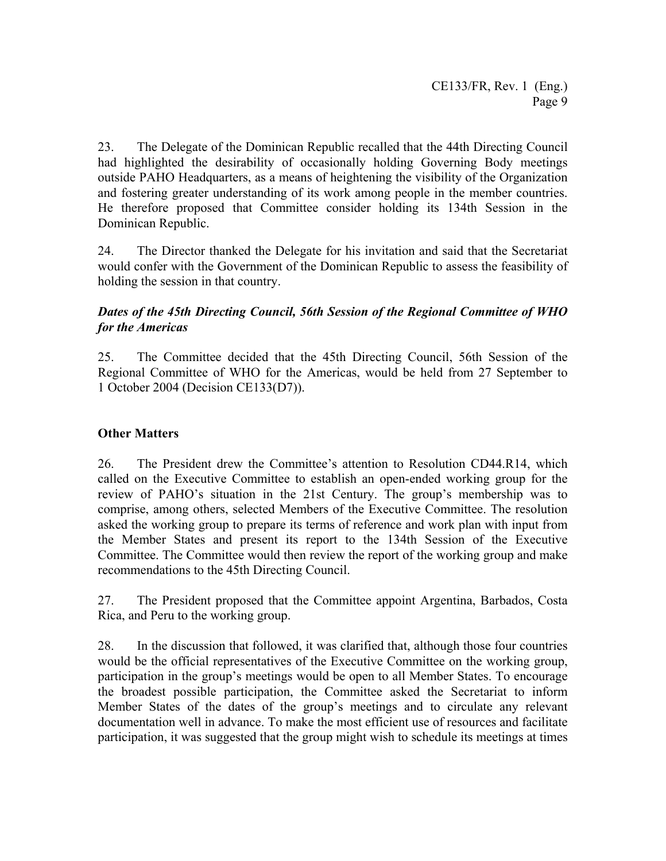23. The Delegate of the Dominican Republic recalled that the 44th Directing Council had highlighted the desirability of occasionally holding Governing Body meetings outside PAHO Headquarters, as a means of heightening the visibility of the Organization and fostering greater understanding of its work among people in the member countries. He therefore proposed that Committee consider holding its 134th Session in the Dominican Republic.

24. The Director thanked the Delegate for his invitation and said that the Secretariat would confer with the Government of the Dominican Republic to assess the feasibility of holding the session in that country.

# *Dates of the 45th Directing Council, 56th Session of the Regional Committee of WHO for the Americas*

25. The Committee decided that the 45th Directing Council, 56th Session of the Regional Committee of WHO for the Americas, would be held from 27 September to 1 October 2004 (Decision CE133(D7)).

# **Other Matters**

26. The President drew the Committee's attention to Resolution CD44.R14, which called on the Executive Committee to establish an open-ended working group for the review of PAHO's situation in the 21st Century. The group's membership was to comprise, among others, selected Members of the Executive Committee. The resolution asked the working group to prepare its terms of reference and work plan with input from the Member States and present its report to the 134th Session of the Executive Committee. The Committee would then review the report of the working group and make recommendations to the 45th Directing Council.

27. The President proposed that the Committee appoint Argentina, Barbados, Costa Rica, and Peru to the working group.

28. In the discussion that followed, it was clarified that, although those four countries would be the official representatives of the Executive Committee on the working group, participation in the group's meetings would be open to all Member States. To encourage the broadest possible participation, the Committee asked the Secretariat to inform Member States of the dates of the group's meetings and to circulate any relevant documentation well in advance. To make the most efficient use of resources and facilitate participation, it was suggested that the group might wish to schedule its meetings at times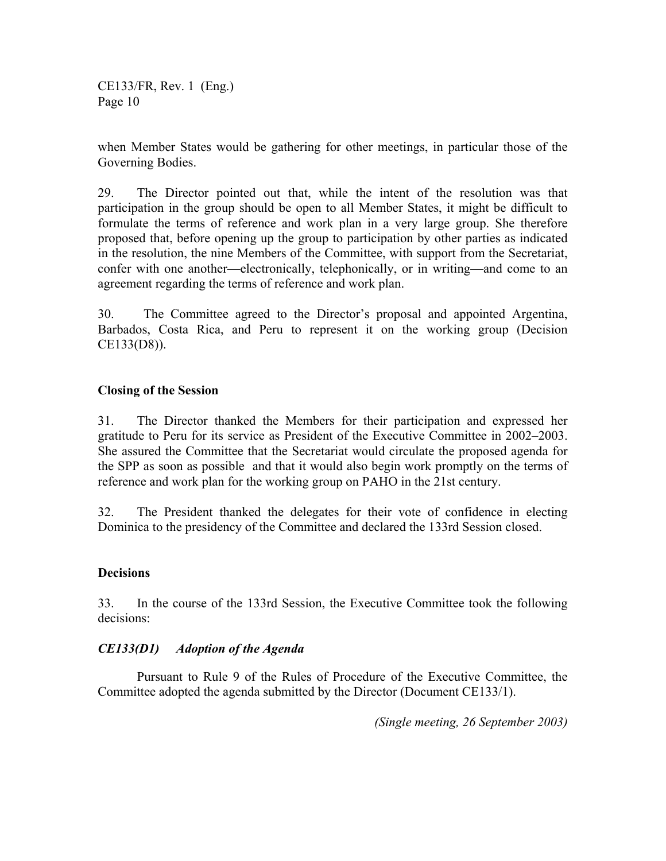when Member States would be gathering for other meetings, in particular those of the Governing Bodies.

29. The Director pointed out that, while the intent of the resolution was that participation in the group should be open to all Member States, it might be difficult to formulate the terms of reference and work plan in a very large group. She therefore proposed that, before opening up the group to participation by other parties as indicated in the resolution, the nine Members of the Committee, with support from the Secretariat, confer with one another—electronically, telephonically, or in writing—and come to an agreement regarding the terms of reference and work plan.

30. The Committee agreed to the Director's proposal and appointed Argentina, Barbados, Costa Rica, and Peru to represent it on the working group (Decision CE133(D8)).

#### **Closing of the Session**

31. The Director thanked the Members for their participation and expressed her gratitude to Peru for its service as President of the Executive Committee in 2002–2003. She assured the Committee that the Secretariat would circulate the proposed agenda for the SPP as soon as possible and that it would also begin work promptly on the terms of reference and work plan for the working group on PAHO in the 21st century.

32. The President thanked the delegates for their vote of confidence in electing Dominica to the presidency of the Committee and declared the 133rd Session closed.

#### **Decisions**

33. In the course of the 133rd Session, the Executive Committee took the following decisions:

#### *CE133(D1) Adoption of the Agenda*

 Pursuant to Rule 9 of the Rules of Procedure of the Executive Committee, the Committee adopted the agenda submitted by the Director (Document CE133/1).

*(Single meeting, 26 September 2003)*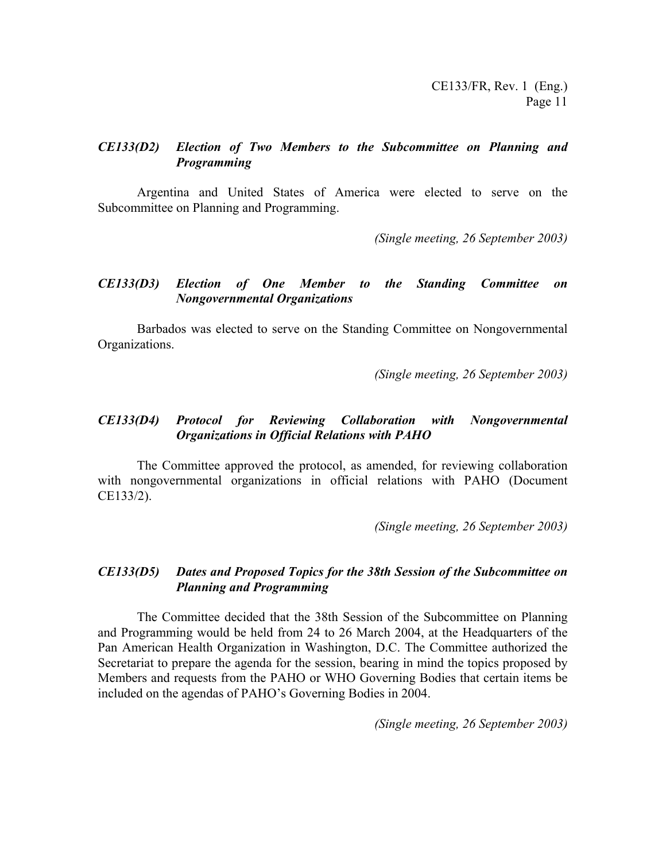#### *CE133(D2) Election of Two Members to the Subcommittee on Planning and Programming*

Argentina and United States of America were elected to serve on the Subcommittee on Planning and Programming.

*(Single meeting, 26 September 2003)* 

#### *CE133(D3) Election of One Member to the Standing Committee on Nongovernmental Organizations*

 Barbados was elected to serve on the Standing Committee on Nongovernmental Organizations.

*(Single meeting, 26 September 2003)* 

#### *CE133(D4) Protocol for Reviewing Collaboration with Nongovernmental Organizations in Official Relations with PAHO*

The Committee approved the protocol, as amended, for reviewing collaboration with nongovernmental organizations in official relations with PAHO (Document CE133/2).

*(Single meeting, 26 September 2003)* 

#### *CE133(D5) Dates and Proposed Topics for the 38th Session of the Subcommittee on Planning and Programming*

The Committee decided that the 38th Session of the Subcommittee on Planning and Programming would be held from 24 to 26 March 2004, at the Headquarters of the Pan American Health Organization in Washington, D.C. The Committee authorized the Secretariat to prepare the agenda for the session, bearing in mind the topics proposed by Members and requests from the PAHO or WHO Governing Bodies that certain items be included on the agendas of PAHO's Governing Bodies in 2004.

*(Single meeting, 26 September 2003)*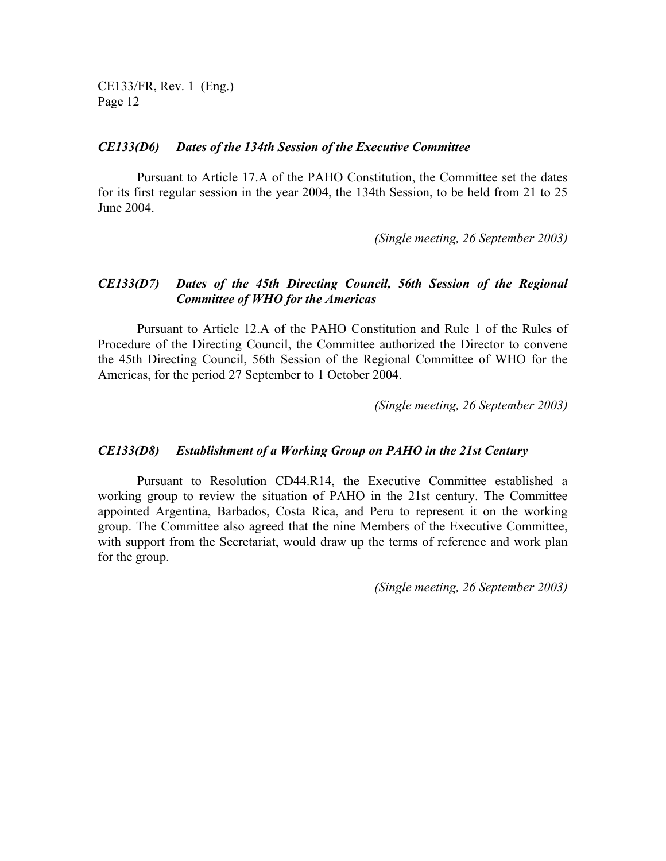#### *CE133(D6) Dates of the 134th Session of the Executive Committee*

 Pursuant to Article 17.A of the PAHO Constitution, the Committee set the dates for its first regular session in the year 2004, the 134th Session, to be held from 21 to 25 June 2004.

*(Single meeting, 26 September 2003)* 

#### *CE133(D7) Dates of the 45th Directing Council, 56th Session of the Regional Committee of WHO for the Americas*

 Pursuant to Article 12.A of the PAHO Constitution and Rule 1 of the Rules of Procedure of the Directing Council, the Committee authorized the Director to convene the 45th Directing Council, 56th Session of the Regional Committee of WHO for the Americas, for the period 27 September to 1 October 2004.

*(Single meeting, 26 September 2003)* 

#### *CE133(D8) Establishment of a Working Group on PAHO in the 21st Century*

 Pursuant to Resolution CD44.R14, the Executive Committee established a working group to review the situation of PAHO in the 21st century. The Committee appointed Argentina, Barbados, Costa Rica, and Peru to represent it on the working group. The Committee also agreed that the nine Members of the Executive Committee, with support from the Secretariat, would draw up the terms of reference and work plan for the group.

*(Single meeting, 26 September 2003)*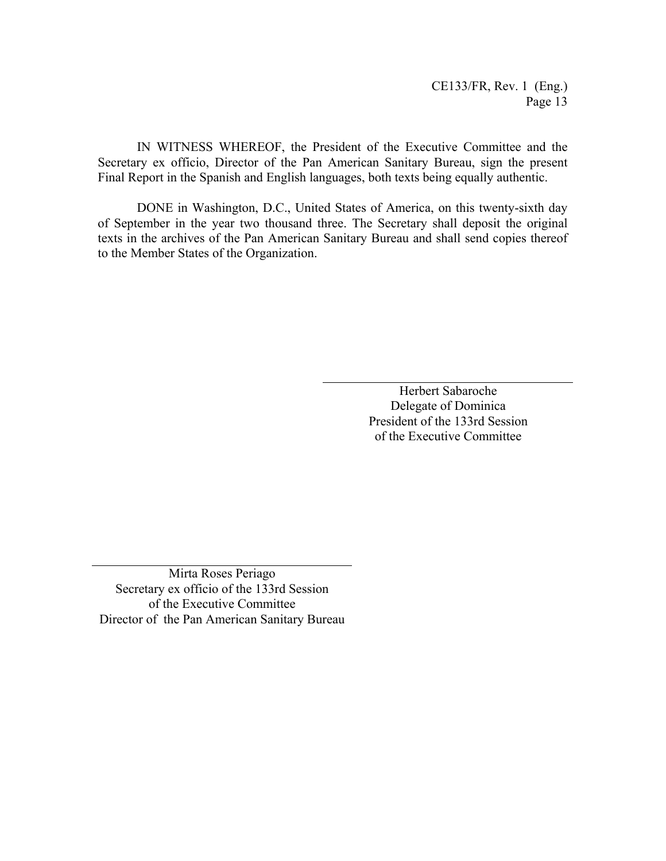IN WITNESS WHEREOF, the President of the Executive Committee and the Secretary ex officio, Director of the Pan American Sanitary Bureau, sign the present Final Report in the Spanish and English languages, both texts being equally authentic.

DONE in Washington, D.C., United States of America, on this twenty-sixth day of September in the year two thousand three. The Secretary shall deposit the original texts in the archives of the Pan American Sanitary Bureau and shall send copies thereof to the Member States of the Organization.

> Herbert Sabaroche Delegate of Dominica President of the 133rd Session of the Executive Committee

Mirta Roses Periago Secretary ex officio of the 133rd Session of the Executive Committee Director of the Pan American Sanitary Bureau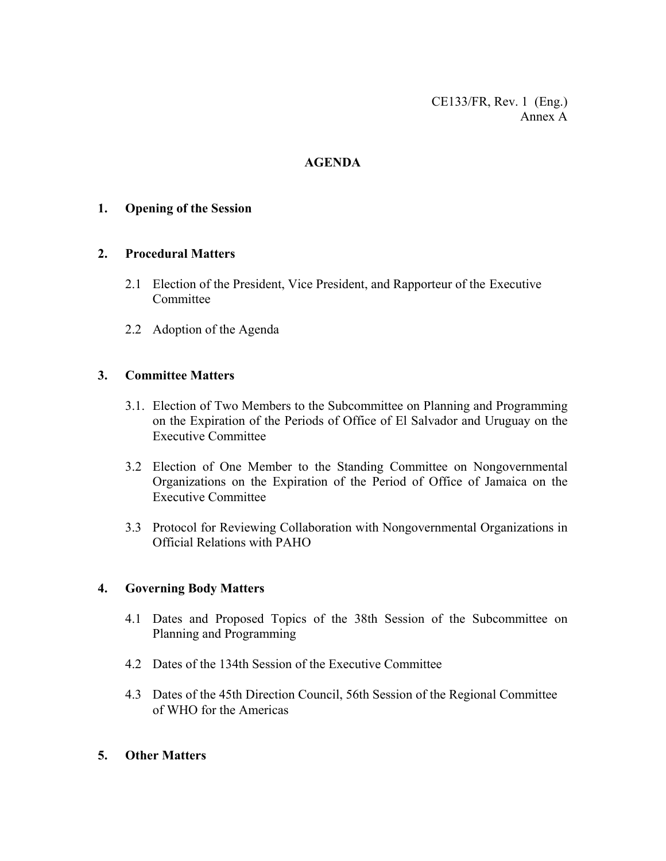CE133/FR, Rev. 1 (Eng.) Annex A

# **AGENDA**

#### **1. Opening of the Session**

#### **2. Procedural Matters**

- 2.1 Election of the President, Vice President, and Rapporteur of the Executive **Committee**
- 2.2 Adoption of the Agenda

#### **3. Committee Matters**

- 3.1. Election of Two Members to the Subcommittee on Planning and Programming on the Expiration of the Periods of Office of El Salvador and Uruguay on the Executive Committee
- 3.2 Election of One Member to the Standing Committee on Nongovernmental Organizations on the Expiration of the Period of Office of Jamaica on the Executive Committee
- 3.3 Protocol for Reviewing Collaboration with Nongovernmental Organizations in Official Relations with PAHO

#### **4. Governing Body Matters**

- 4.1 Dates and Proposed Topics of the 38th Session of the Subcommittee on Planning and Programming
- 4.2 Dates of the 134th Session of the Executive Committee
- 4.3 Dates of the 45th Direction Council, 56th Session of the Regional Committee of WHO for the Americas

#### **5. Other Matters**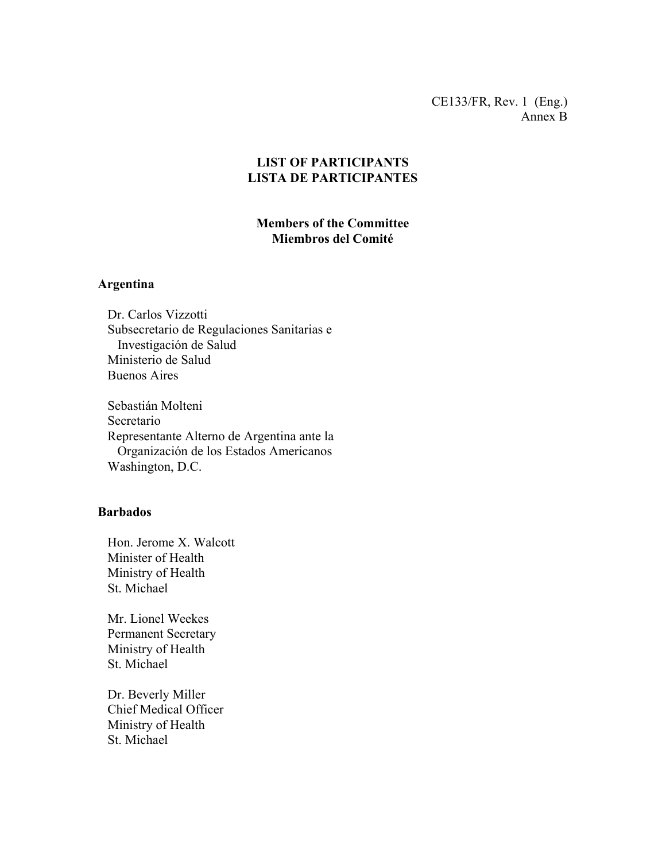CE133/FR, Rev. 1 (Eng.) Annex B

# **LIST OF PARTICIPANTS LISTA DE PARTICIPANTES**

# **Members of the Committee Miembros del Comité**

#### **Argentina**

 Dr. Carlos Vizzotti Subsecretario de Regulaciones Sanitarias e Investigación de Salud Ministerio de Salud Buenos Aires

 Sebastián Molteni Secretario Representante Alterno de Argentina ante la Organización de los Estados Americanos Washington, D.C.

#### **Barbados**

 Hon. Jerome X. Walcott Minister of Health Ministry of Health St. Michael

 Mr. Lionel Weekes Permanent Secretary Ministry of Health St. Michael

 Dr. Beverly Miller Chief Medical Officer Ministry of Health St. Michael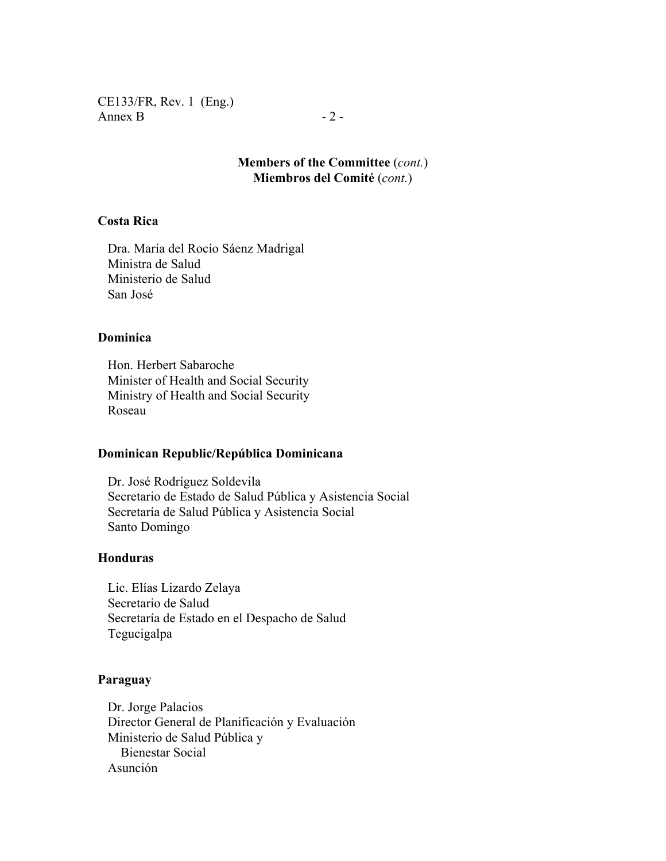CE133/FR, Rev. 1 (Eng.) Annex B  $-2$  -

**Members of the Committee** (*cont.*) **Miembros del Comité** (*cont.*)

# **Costa Rica**

 Dra. María del Rocío Sáenz Madrigal Ministra de Salud Ministerio de Salud San José

#### **Dominica**

 Hon. Herbert Sabaroche Minister of Health and Social Security Ministry of Health and Social Security Roseau

#### **Dominican Republic/República Dominicana**

 Dr. José Rodríguez Soldevila Secretario de Estado de Salud Pública y Asistencia Social Secretaría de Salud Pública y Asistencia Social Santo Domingo

#### **Honduras**

 Lic. Elías Lizardo Zelaya Secretario de Salud Secretaría de Estado en el Despacho de Salud Tegucigalpa

#### **Paraguay**

 Dr. Jorge Palacios Director General de Planificación y Evaluación Ministerio de Salud Pública y Bienestar Social Asunción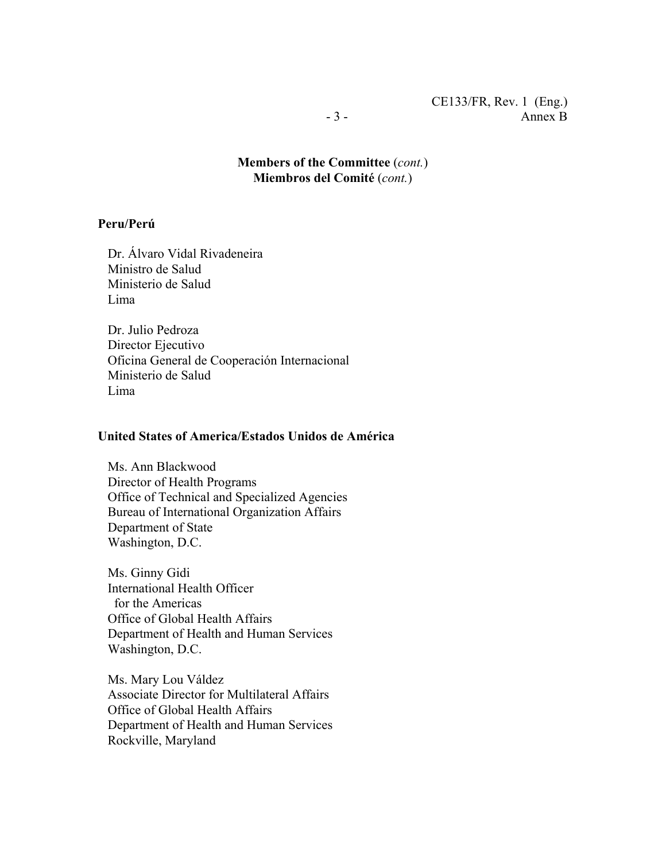**Members of the Committee** (*cont.*) **Miembros del Comité** (*cont.*)

#### **Peru/Perú**

 Dr. Álvaro Vidal Rivadeneira Ministro de Salud Ministerio de Salud Lima

 Dr. Julio Pedroza Director Ejecutivo Oficina General de Cooperación Internacional Ministerio de Salud Lima

#### **United States of America/Estados Unidos de América**

 Ms. Ann Blackwood Director of Health Programs Office of Technical and Specialized Agencies Bureau of International Organization Affairs Department of State Washington, D.C.

 Ms. Ginny Gidi International Health Officer for the Americas Office of Global Health Affairs Department of Health and Human Services Washington, D.C.

 Ms. Mary Lou Váldez Associate Director for Multilateral Affairs Office of Global Health Affairs Department of Health and Human Services Rockville, Maryland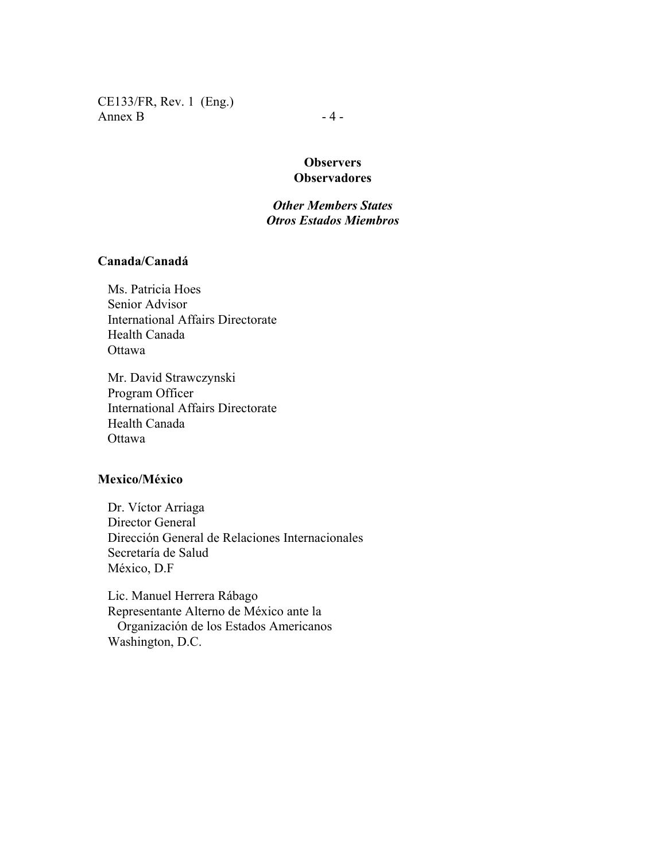CE133/FR, Rev. 1 (Eng.) Annex B  $-4-$ 

# **Observers Observadores**

# *Other Members States Otros Estados Miembros*

#### **Canada/Canadá**

 Ms. Patricia Hoes Senior Advisor International Affairs Directorate Health Canada Ottawa

 Mr. David Strawczynski Program Officer International Affairs Directorate Health Canada Ottawa

## **Mexico/México**

 Dr. Víctor Arriaga Director General Dirección General de Relaciones Internacionales Secretaría de Salud México, D.F

 Lic. Manuel Herrera Rábago Representante Alterno de México ante la Organización de los Estados Americanos Washington, D.C.